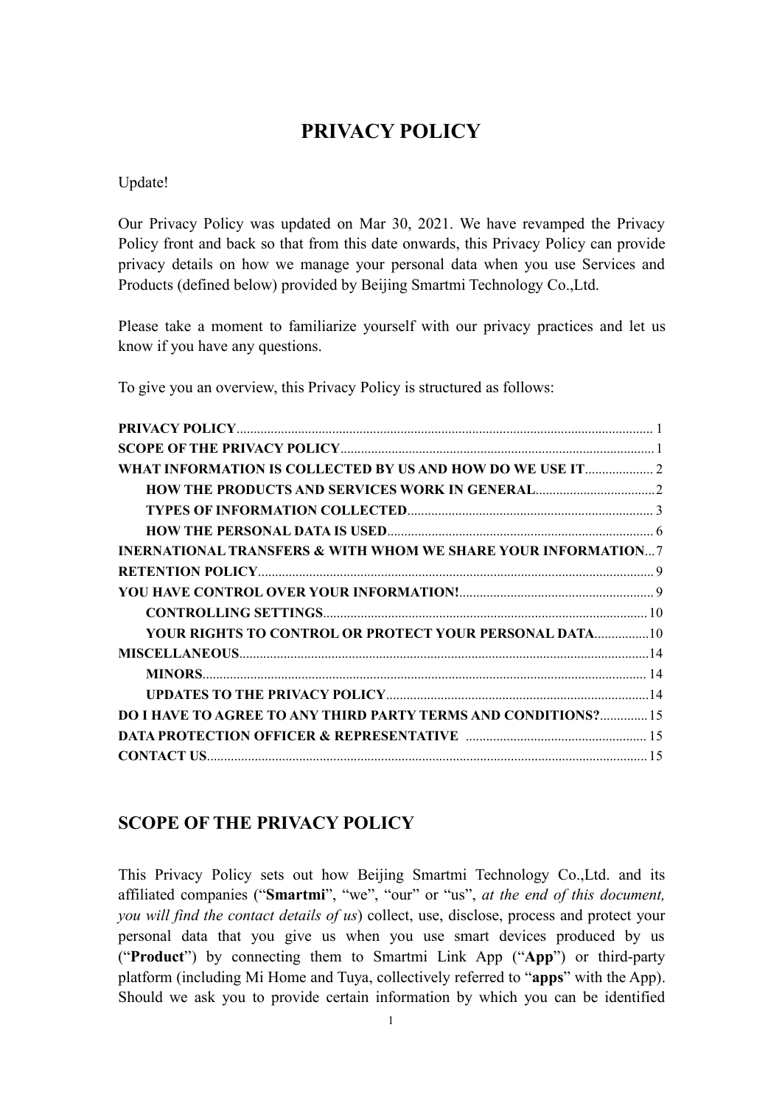# <span id="page-0-0"></span>**PRIVACY POLICY**

Update!

Our Privacy Policy was updated on Mar 30, 2021. We have revamped the Privacy Policy front and back so that from this date onwards, this Privacy Policy can provide privacy details on how we manage your personal data when you use Services and Products (defined below) provided by Beijing Smartmi Technology Co.,Ltd.

Please take a moment to familiarize yourself with our privacy practices and let us know if you have any questions.

To give you an overview, this Privacy Policy is structured as follows:

| WHAT INFORMATION IS COLLECTED BY US AND HOW DO WE USE IT 2                                                     |  |
|----------------------------------------------------------------------------------------------------------------|--|
|                                                                                                                |  |
|                                                                                                                |  |
|                                                                                                                |  |
| <b>INERNATIONAL TRANSFERS &amp; WITH WHOM WE SHARE YOUR INFORMATION?</b>                                       |  |
|                                                                                                                |  |
|                                                                                                                |  |
|                                                                                                                |  |
|                                                                                                                |  |
|                                                                                                                |  |
|                                                                                                                |  |
|                                                                                                                |  |
| <b>DO I HAVE TO AGREE TO ANY THIRD PARTY TERMS AND CONDITIONS? 15</b>                                          |  |
| <b>DATA PROTECTION OFFICER &amp; REPRESENTATIVE manufacture of the PROTECTION OFFICER &amp; REPRESENTATIVE</b> |  |
|                                                                                                                |  |

# <span id="page-0-1"></span>**SCOPE OF THE PRIVACY POLICY**

This Privacy Policy sets out how Beijing Smartmi Technology Co.,Ltd. and its affiliated companies ("**Smartmi**", "we", "our" or "us",*at the end of this document, you will find the contact details of us*) collect, use, disclose, process and protect your personal data that you give us when you use smart devices produced by us ("**Product**") by connecting them to Smartmi Link App ("**App**") or third-party platform (including Mi Home and Tuya, collectively referred to "**apps**" with the App). Should we ask you to provide certain information by which you can be identified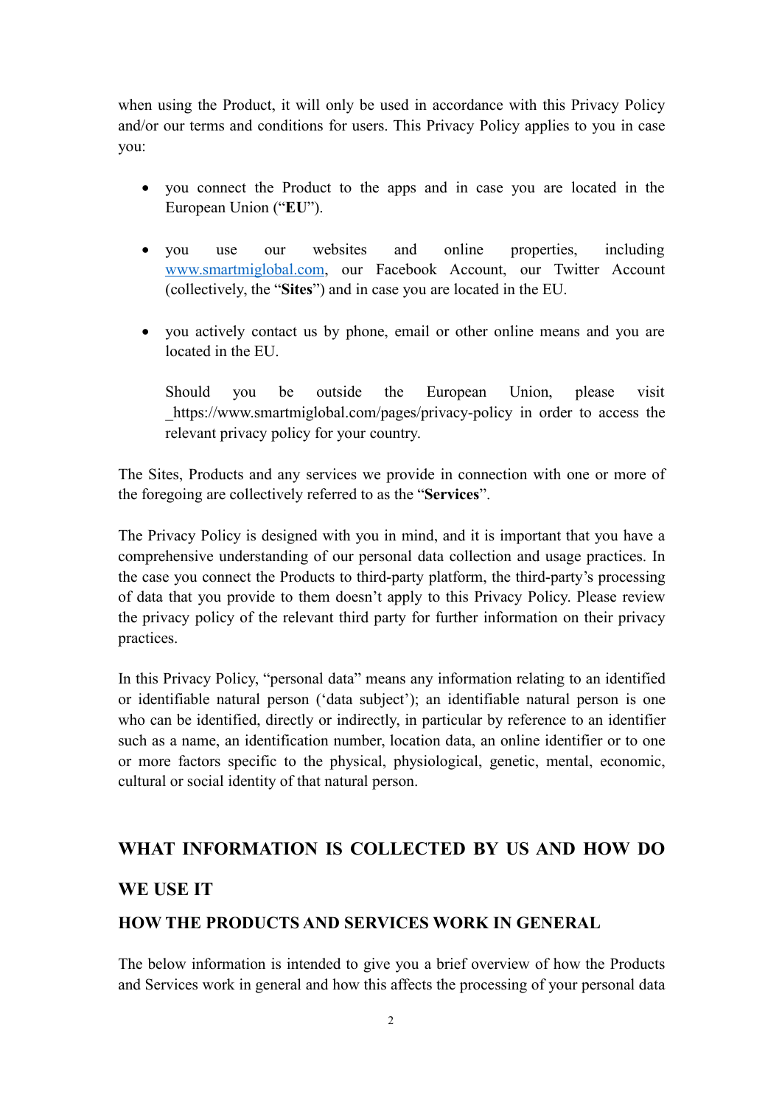when using the Product, it will only be used in accordance with this Privacy Policy and/or our terms and conditions for users. This Privacy Policy applies to you in case you:

- you connect the Product to the apps and in case you are located in the European Union ("**EU**").
- you use our websites and online properties, including [www.smartmiglobal.com](http://www.smartmiglobal.com), our Facebook Account, our Twitter Account (collectively, the "**Sites**") and in case you are located in the EU.
- you actively contact us by phone, email or other online means and you are located in the EU.

Should you be outside the European Union, please visit\_https://www.smartmiglobal.com/pages/privacy-policy in order to access the relevant privacy policy for your country.

The Sites, Products and any services we provide in connection with one or more of the foregoing are collectively referred to asthe "**Services**".

The Privacy Policy is designed with you in mind, and it is important that you have a comprehensive understanding of our personal data collection and usage practices. In the case you connect the Products to third-party platform, the third-party's processing of data that you provide to them doesn't apply to this Privacy Policy. Please review the privacy policy of the relevant third party for further information on their privacy practices.

In this Privacy Policy, "personal data" means any information relating to an identified or identifiable natural person ('data subject'); an identifiable natural person is one who can be identified, directly or indirectly, in particular by reference to an identifier such as a name, an identification number, location data, an online identifier or to one or more factors specific to the physical, physiological, genetic, mental, economic, cultural or social identity of that natural person.

### <span id="page-1-0"></span>**WHAT INFORMATION IS COLLECTED BY US AND HOW DO**

#### **WE USE IT**

#### <span id="page-1-1"></span>**HOW THE PRODUCTS AND SERVICES WORK IN GENERAL**

The below information is intended to give you a brief overview of how the Products and Services work in general and how this affects the processing of your personal data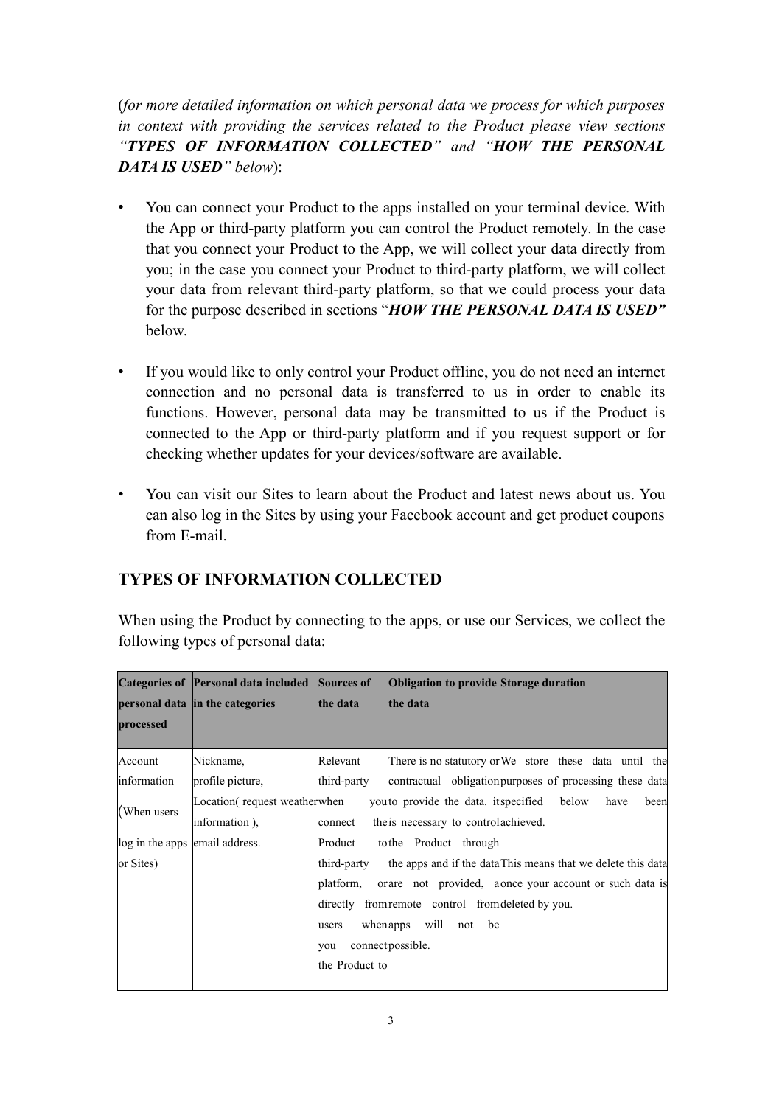(*for more detailed information on which personal data we process for which purposes in context with providing the services related to the Product please view sections "TYPES OF INFORMATION COLLECTED" and "HOW THE PERSONAL DATA IS USED" below*):

- You can connect your Product to the apps installed on your terminal device. With the App or third-party platform you can control the Product remotely. In the case that you connect your Product to the App, we will collect your data directly from you; in the case you connect your Product to third-party platform, we will collect your data from relevant third-party platform, so that we could process your data for the purpose described in sections "*HOW THE PERSONAL DATA IS USED"* below.
- If you would like to only control your Product offline, you do not need an internet connection and no personal data is transferred to us in order to enable its functions. However, personal data may be transmitted to us if the Product is connected to the App or third-party platform and if you request support or for checking whether updates for your devices/software are available.
- You can visit our Sites to learn about the Product and latest news about us. You can also log in the Sites by using your Facebook account and get product coupons from E-mail.

# <span id="page-2-0"></span>**TYPES OF INFORMATION COLLECTED**

When using the Product by connecting to the apps, or use our Services, we collect the following types of personal data:

|                                | Categories of Personal data included | Sources of          | <b>Obligation to provide Storage duration</b>     |                                                              |
|--------------------------------|--------------------------------------|---------------------|---------------------------------------------------|--------------------------------------------------------------|
|                                | personal data in the categories      | the data            | the data                                          |                                                              |
| processed                      |                                      |                     |                                                   |                                                              |
|                                |                                      |                     |                                                   |                                                              |
| Account                        | Nickname,                            | Relevant            |                                                   | There is no statutory or We store these data until the       |
| information                    | profile picture,                     | third-party         |                                                   | contractual obligation purposes of processing these data     |
| $\blacksquare$ When users      | Location request weather when        |                     | you'to provide the data. it's pecified            | below<br>have<br>been                                        |
|                                | information),                        | connect             | the is necessary to controllachieved.             |                                                              |
| log in the apps email address. |                                      | Product             | to the Product through                            |                                                              |
| or Sites)                      |                                      | third-party         |                                                   | the apps and if the data This means that we delete this data |
|                                |                                      | platform,           |                                                   | orare not provided, alonce your account or such data is      |
|                                |                                      |                     | directly from remote control from deleted by you. |                                                              |
|                                |                                      | when apps<br>lusers | will not be                                       |                                                              |
|                                |                                      | vou                 | connect possible.                                 |                                                              |
|                                |                                      | the Product to      |                                                   |                                                              |
|                                |                                      |                     |                                                   |                                                              |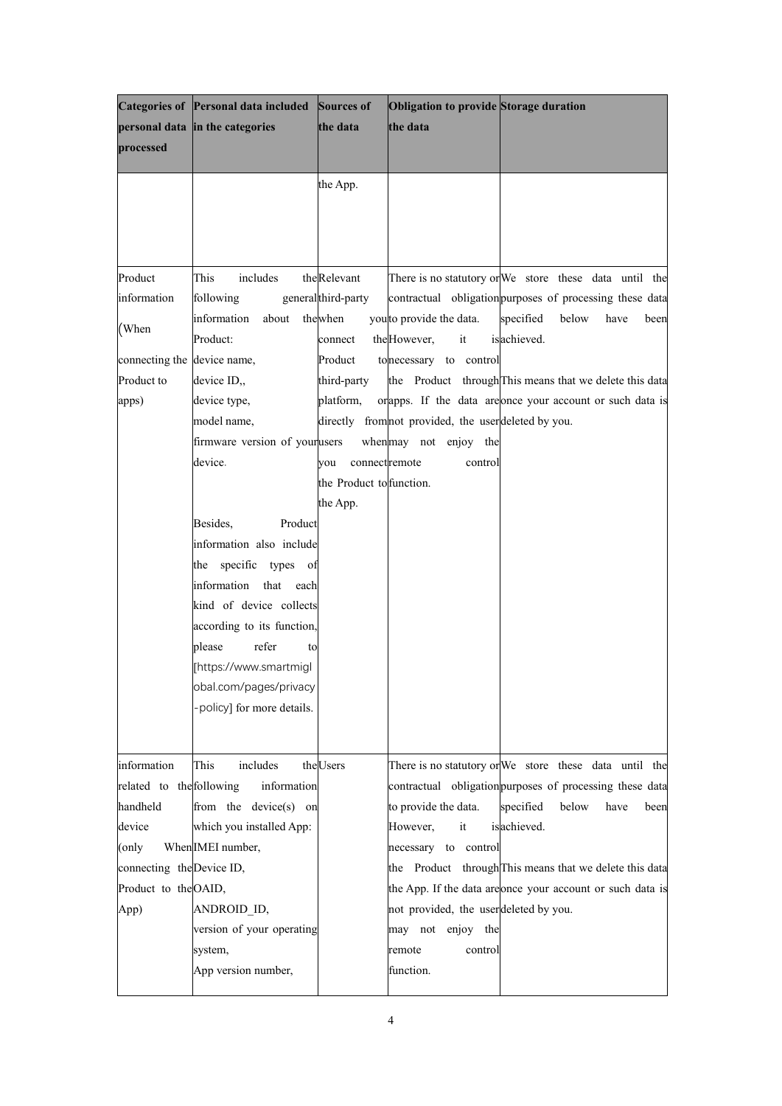|                                     | Categories of Personal data included          | Sources of               | Obligation to provide Storage duration               |                                                                                                                    |
|-------------------------------------|-----------------------------------------------|--------------------------|------------------------------------------------------|--------------------------------------------------------------------------------------------------------------------|
|                                     | personal data in the categories               | the data                 | the data                                             |                                                                                                                    |
| processed                           |                                               |                          |                                                      |                                                                                                                    |
|                                     |                                               |                          |                                                      |                                                                                                                    |
|                                     |                                               | the App.                 |                                                      |                                                                                                                    |
|                                     |                                               |                          |                                                      |                                                                                                                    |
|                                     |                                               |                          |                                                      |                                                                                                                    |
|                                     |                                               |                          |                                                      |                                                                                                                    |
| Product                             | includes<br>This                              | theRelevant              |                                                      | There is no statutory or We store these data until the                                                             |
| information                         | following                                     | generalthird-party       |                                                      | contractual obligation purposes of processing these data                                                           |
|                                     | information<br>about                          | thewhen                  | you to provide the data.                             | specified<br>below<br>have<br>been                                                                                 |
| (When                               | Product:                                      | connect                  | the However,<br>it                                   | is achieved.                                                                                                       |
| connecting the device name,         |                                               | Product                  | to necessary to control                              |                                                                                                                    |
| Product to                          | device ID,                                    | third-party              |                                                      | the Product through This means that we delete this data                                                            |
| apps)                               | device type,                                  | platform,                |                                                      | orapps. If the data are once your account or such data is                                                          |
|                                     | model name,                                   |                          | directly from not provided, the user deleted by you. |                                                                                                                    |
|                                     | firmware version of yourwers                  |                          | when may not enjoy the                               |                                                                                                                    |
|                                     | device.                                       | connect remote<br>vou    | control                                              |                                                                                                                    |
|                                     |                                               | the Product to function. |                                                      |                                                                                                                    |
|                                     |                                               | the App.                 |                                                      |                                                                                                                    |
|                                     | Besides,<br>Product                           |                          |                                                      |                                                                                                                    |
|                                     | information also include                      |                          |                                                      |                                                                                                                    |
|                                     | the specific types of                         |                          |                                                      |                                                                                                                    |
|                                     | information<br>that each                      |                          |                                                      |                                                                                                                    |
|                                     | kind of device collects                       |                          |                                                      |                                                                                                                    |
|                                     | according to its function,                    |                          |                                                      |                                                                                                                    |
|                                     | refer<br>please<br>to                         |                          |                                                      |                                                                                                                    |
|                                     | [https://www.smartmigl                        |                          |                                                      |                                                                                                                    |
|                                     | obal.com/pages/privacy                        |                          |                                                      |                                                                                                                    |
|                                     | policy] for more details.                     |                          |                                                      |                                                                                                                    |
|                                     |                                               |                          |                                                      |                                                                                                                    |
| information                         | This<br>includes                              | the <b>Users</b>         |                                                      |                                                                                                                    |
| related to the following            |                                               |                          |                                                      | There is no statutory or We store these data until the<br>contractual obligation purposes of processing these data |
| handheld                            | information                                   |                          |                                                      | below                                                                                                              |
| device                              | from the device(s) on                         |                          | to provide the data.<br>it                           | specified<br>have<br>been<br>is achieved.                                                                          |
|                                     | which you installed App:<br>When IMEI number, |                          | However,                                             |                                                                                                                    |
| (only)<br>connecting the Device ID, |                                               |                          | necessary to control                                 | the Product through This means that we delete this data                                                            |
|                                     |                                               |                          |                                                      |                                                                                                                    |
| Product to the OAID,                | ANDROID ID,                                   |                          | not provided, the userdeleted by you.                | the App. If the data areonce your account or such data is                                                          |
| App)                                | version of your operating                     |                          | may not enjoy the                                    |                                                                                                                    |
|                                     |                                               |                          |                                                      |                                                                                                                    |
|                                     | system,<br>App version number,                |                          | remote<br>control<br>function.                       |                                                                                                                    |
|                                     |                                               |                          |                                                      |                                                                                                                    |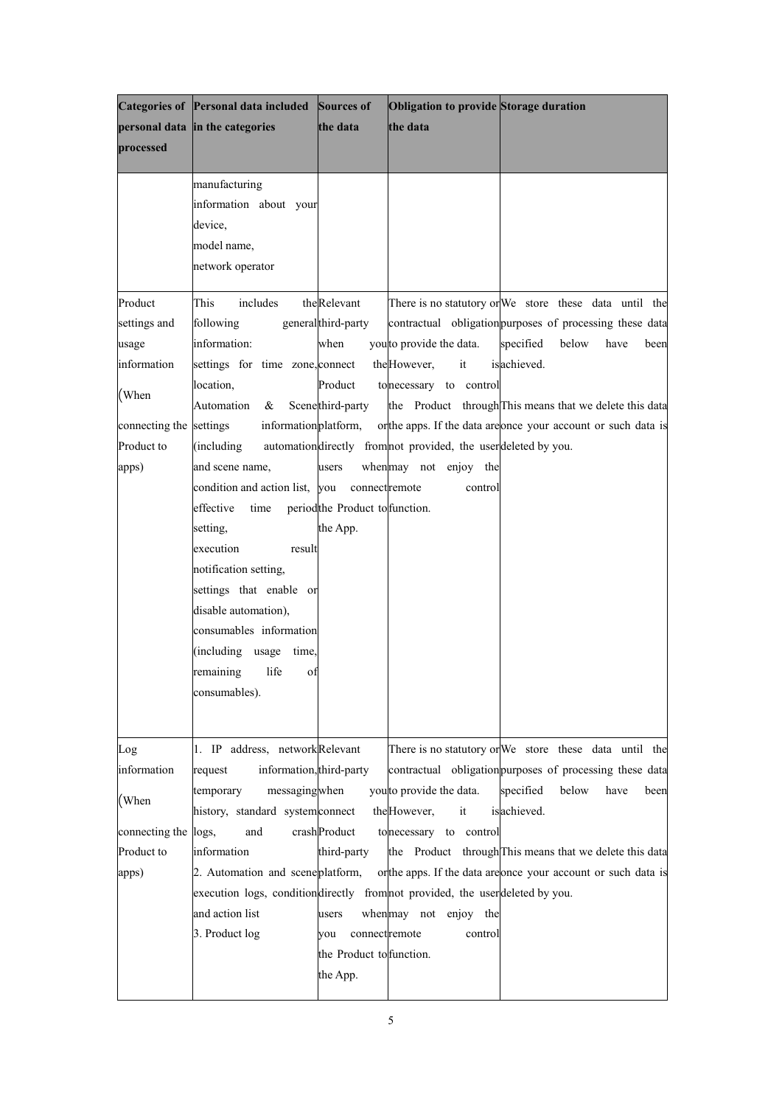|                      | Categories of Personal data included                                          | Sources of                      | Obligation to provide Storage duration                          |                                                                |
|----------------------|-------------------------------------------------------------------------------|---------------------------------|-----------------------------------------------------------------|----------------------------------------------------------------|
|                      | personal data in the categories                                               | the data                        | the data                                                        |                                                                |
| processed            |                                                                               |                                 |                                                                 |                                                                |
|                      |                                                                               |                                 |                                                                 |                                                                |
|                      | manufacturing                                                                 |                                 |                                                                 |                                                                |
|                      | information about your                                                        |                                 |                                                                 |                                                                |
|                      | device,                                                                       |                                 |                                                                 |                                                                |
|                      | model name,                                                                   |                                 |                                                                 |                                                                |
|                      | network operator                                                              |                                 |                                                                 |                                                                |
| Product              | This<br>includes                                                              | theRelevant                     |                                                                 | There is no statutory or We store these data until the         |
| settings and         | following                                                                     | general third-party             |                                                                 | contractual obligation purposes of processing these data       |
| usage                | information:                                                                  | when                            | you to provide the data.                                        | specified<br>below<br>have<br>been                             |
| information          | settings for time zone, connect                                               |                                 | the However,<br>it                                              | is achieved.                                                   |
|                      | location,                                                                     | Product                         | to necessary to control                                         |                                                                |
| (When                | Automation<br>$\alpha$                                                        | Scene third-party               |                                                                 | the Product through This means that we delete this data        |
| connecting the       | information platform,<br>settings                                             |                                 |                                                                 | or the apps. If the data are once your account or such data is |
| Product to           | (including)                                                                   |                                 | automation directly from not provided, the user deleted by you. |                                                                |
| apps)                | and scene name,                                                               | users                           | when may not enjoy the                                          |                                                                |
|                      | condition and action list, you                                                | connect remote                  | control                                                         |                                                                |
|                      | effective<br>time                                                             | period the Product to function. |                                                                 |                                                                |
|                      | setting,                                                                      | the App.                        |                                                                 |                                                                |
|                      | execution<br>result                                                           |                                 |                                                                 |                                                                |
|                      | notification setting,                                                         |                                 |                                                                 |                                                                |
|                      | settings that enable or                                                       |                                 |                                                                 |                                                                |
|                      | disable automation),                                                          |                                 |                                                                 |                                                                |
|                      | consumables information                                                       |                                 |                                                                 |                                                                |
|                      | (including<br>usage time,                                                     |                                 |                                                                 |                                                                |
|                      | remaining<br>life<br>of                                                       |                                 |                                                                 |                                                                |
|                      | consumables).                                                                 |                                 |                                                                 |                                                                |
|                      |                                                                               |                                 |                                                                 |                                                                |
|                      |                                                                               |                                 |                                                                 |                                                                |
| Log                  | 1. IP address, networkRelevant                                                |                                 |                                                                 | There is no statutory or We store these data until the         |
| information          | information, third-party<br>request                                           |                                 |                                                                 | contractual obligation purposes of processing these data       |
| (When                | messagingwhen<br>temporary                                                    |                                 | you to provide the data.                                        | specified<br>below<br>have<br>been                             |
|                      | history, standard system connect                                              |                                 | the However,<br>it                                              | is achieved.                                                   |
| connecting the logs, | and                                                                           | crash Product                   | to necessary to control                                         |                                                                |
| Product to           | information                                                                   | third-party                     |                                                                 | the Product through This means that we delete this data        |
| apps)                | 2. Automation and scene platform,                                             |                                 |                                                                 | orthe apps. If the data are once your account or such data is  |
|                      | execution logs, conditiondirectly from not provided, the user deleted by you. |                                 |                                                                 |                                                                |
|                      | and action list                                                               | users                           | when may not enjoy the                                          |                                                                |
|                      | 3. Product log                                                                | connect remote<br>vou           | control                                                         |                                                                |
|                      |                                                                               | the Product to function.        |                                                                 |                                                                |
|                      |                                                                               | the App.                        |                                                                 |                                                                |
|                      |                                                                               |                                 |                                                                 |                                                                |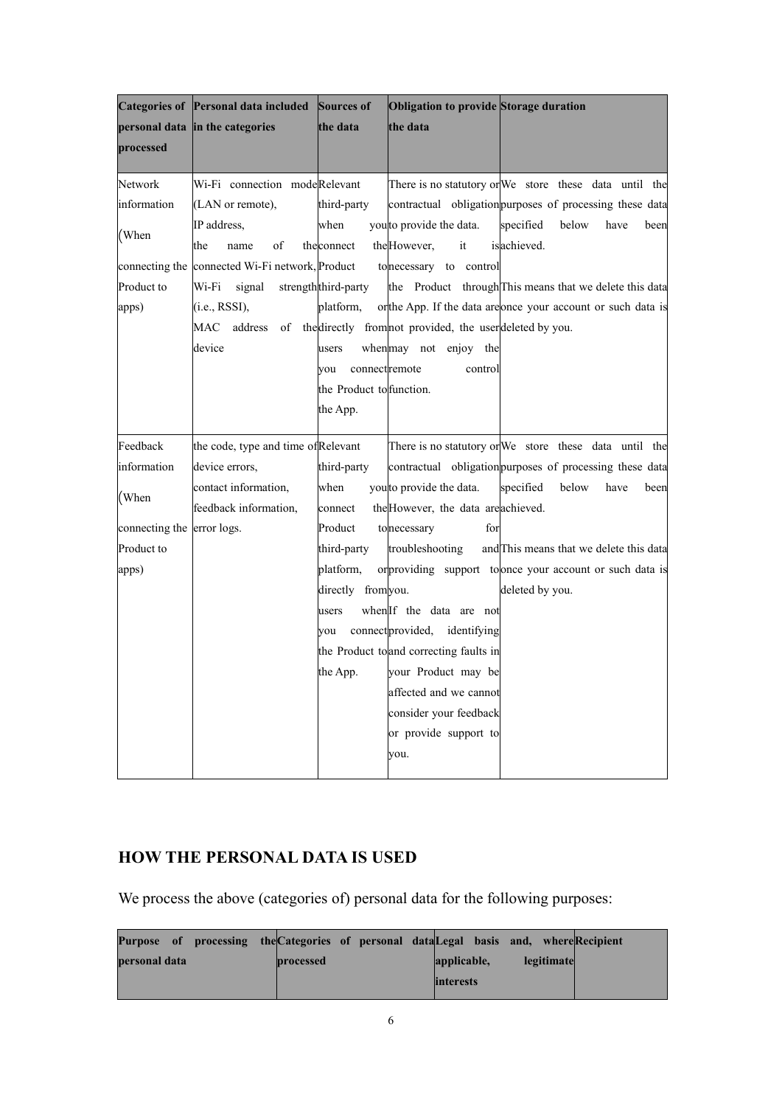|                | Categories of Personal data included                                    | Sources of               | Obligation to provide Storage duration  |                                                              |
|----------------|-------------------------------------------------------------------------|--------------------------|-----------------------------------------|--------------------------------------------------------------|
|                | personal data in the categories                                         | the data                 | the data                                |                                                              |
| processed      |                                                                         |                          |                                         |                                                              |
|                |                                                                         |                          |                                         |                                                              |
| Network        | Wi-Fi connection modeRelevant                                           |                          |                                         | There is no statutory or We store these data until the       |
| information    | (LAN or remote),                                                        | third-party              |                                         | contractual obligation purposes of processing these data     |
| (When          | IP address,                                                             | when                     | you to provide the data.                | specified<br>below<br>have<br>been                           |
|                | of<br>the<br>name                                                       | theconnect               | it<br>the However,                      | is achieved.                                                 |
| connecting the | connected Wi-Fi network, Product                                        |                          | to necessary to control                 |                                                              |
| Product to     | Wi-Fi<br>signal                                                         | strength third-party     |                                         | the Product through This means that we delete this data      |
| apps)          | (i.e., RSSI),                                                           | platform,                |                                         | orthe App. If the data are once your account or such data is |
|                | MAC address of the directly from not provided, the user deleted by you. |                          |                                         |                                                              |
|                | device                                                                  | users                    | when may not enjoy the                  |                                                              |
|                |                                                                         | connectremote<br>vou     | control                                 |                                                              |
|                |                                                                         | the Product to function. |                                         |                                                              |
|                |                                                                         | the App.                 |                                         |                                                              |
| Feedback       | the code, type and time of Relevant                                     |                          |                                         | There is no statutory or We store these data until the       |
| information    | device errors,                                                          | third-party              |                                         | contractual obligation purposes of processing these data     |
|                | contact information,                                                    | when                     | you to provide the data.                | specified<br>below<br>have<br>been                           |
| (When          | feedback information,                                                   | connect                  | the However, the data are achieved.     |                                                              |
| connecting the | error logs.                                                             | Product                  | to necessary<br>for                     |                                                              |
| Product to     |                                                                         | third-party              | troubleshooting                         | and This means that we delete this data                      |
| apps)          |                                                                         | platform,                |                                         | or providing support to once your account or such data is    |
|                |                                                                         | directly from you.       |                                         | deleted by you.                                              |
|                |                                                                         | users                    | when If the data are not                |                                                              |
|                |                                                                         | vou                      | connect provided, identifying           |                                                              |
|                |                                                                         |                          | the Product to and correcting faults in |                                                              |
|                |                                                                         | the App.                 | your Product may be                     |                                                              |
|                |                                                                         |                          | affected and we cannot                  |                                                              |
|                |                                                                         |                          | consider your feedback                  |                                                              |
|                |                                                                         |                          | or provide support to                   |                                                              |
|                |                                                                         |                          |                                         |                                                              |
|                |                                                                         |                          | you.                                    |                                                              |

# <span id="page-5-0"></span>**HOW THE PERSONAL DATA IS USED**

We process the above (categories of) personal data for the following purposes:

| Purpose of processing the Categories of personal data Legal basis and, where Recipient |           |                           |  |
|----------------------------------------------------------------------------------------|-----------|---------------------------|--|
| personal data                                                                          | processed | legitimate<br>applicable, |  |
|                                                                                        |           | <i>interests</i>          |  |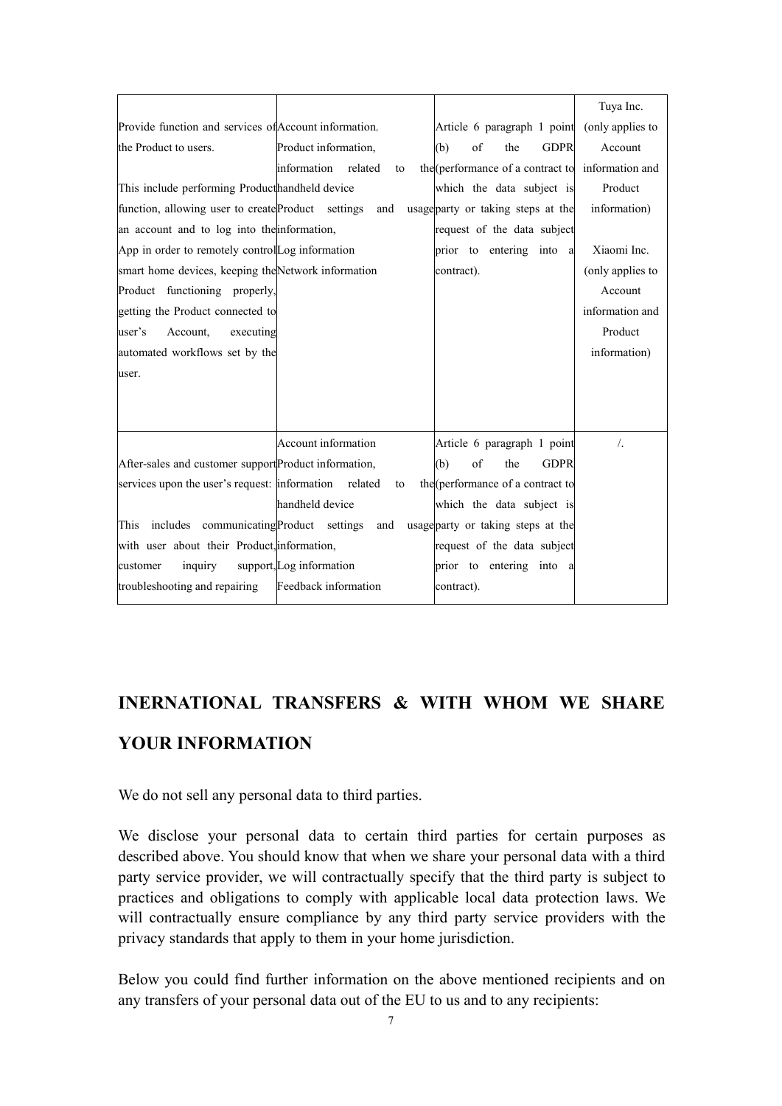|                                                       |                           |                                                   | Tuya Inc.        |
|-------------------------------------------------------|---------------------------|---------------------------------------------------|------------------|
| Provide function and services of Account information, |                           | Article 6 paragraph 1 point                       | (only applies to |
| the Product to users.                                 | Product information,      | of<br><b>GDPR</b><br>(b)<br>the                   | Account          |
|                                                       | information related<br>to | the (performance of a contract to information and |                  |
| This include performing Producthandheld device        |                           | which the data subject is                         | Product          |
| function, allowing user to create Product settings    | and                       | usage party or taking steps at the                | information)     |
| an account and to log into the information,           |                           | request of the data subject                       |                  |
| App in order to remotely control Log information      |                           | prior to entering into a                          | Xiaomi Inc.      |
| smart home devices, keeping the Network information   |                           | contract).                                        | (only applies to |
| Product functioning properly,                         |                           |                                                   | Account          |
| getting the Product connected to                      |                           |                                                   | information and  |
| user's<br>Account.<br>executing                       |                           |                                                   | Product          |
| automated workflows set by the                        |                           |                                                   | information)     |
| user.                                                 |                           |                                                   |                  |
|                                                       |                           |                                                   |                  |
|                                                       |                           |                                                   |                  |
|                                                       | Account information       | Article 6 paragraph 1 point                       | $\frac{1}{2}$    |
| After-sales and customer support Product information, |                           | of<br>(b)<br>the<br><b>GDPR</b>                   |                  |
| services upon the user's request: information related | to                        | the (performance of a contract to                 |                  |
|                                                       | handheld device           | which the data subject is                         |                  |
| This includes communicating Product settings          | and                       | usage party or taking steps at the                |                  |
| with user about their Product, information,           |                           | request of the data subject                       |                  |
| inquiry<br>customer                                   | support, Log information  | prior to entering into a                          |                  |
| troubleshooting and repairing                         | Feedback information      | contract).                                        |                  |
|                                                       |                           |                                                   |                  |

# <span id="page-6-0"></span>**INERNATIONAL TRANSFERS & WITH WHOM WE SHARE YOUR INFORMATION**

We do not sell any personal data to third parties.

We disclose your personal data to certain third parties for certain purposes as described above. You should know that when we share your personal data with a third party service provider, we will contractually specify that the third party is subject to practices and obligations to comply with applicable local data protection laws. We will contractually ensure compliance by any third party service providers with the privacy standards that apply to them in your home jurisdiction.

Below you could find further information on the above mentioned recipients and on any transfers of your personal data out of the EU to us and to any recipients: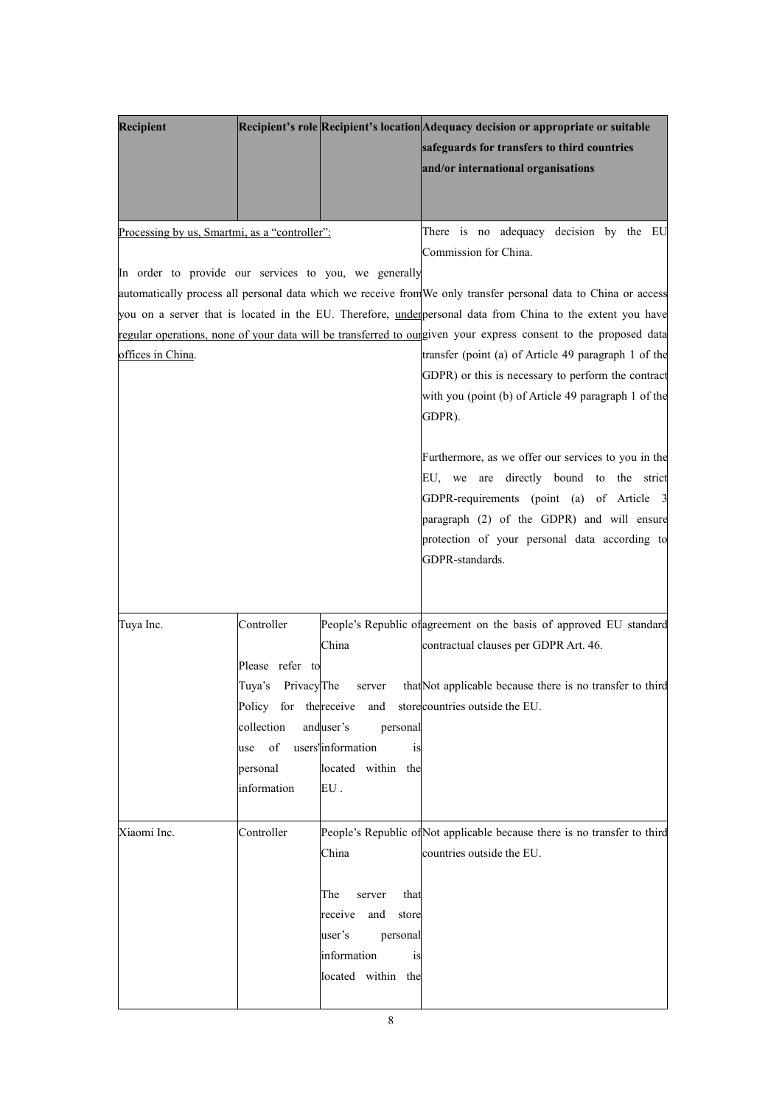| Recipient                                                                                              |                                                                                                           |                                                                                                                            | Recipient's role Recipient's location Adequacy decision or appropriate or suitable<br>safeguards for transfers to third countries<br>and/or international organisations                                                                                       |
|--------------------------------------------------------------------------------------------------------|-----------------------------------------------------------------------------------------------------------|----------------------------------------------------------------------------------------------------------------------------|---------------------------------------------------------------------------------------------------------------------------------------------------------------------------------------------------------------------------------------------------------------|
| Processing by us, Smartmi, as a "controller":<br>In order to provide our services to you, we generally |                                                                                                           |                                                                                                                            | There is no adequacy decision by the EU<br>Commission for China.                                                                                                                                                                                              |
|                                                                                                        |                                                                                                           |                                                                                                                            | automatically process all personal data which we receive from We only transfer personal data to China or access                                                                                                                                               |
|                                                                                                        |                                                                                                           |                                                                                                                            | you on a server that is located in the EU. Therefore, underpersonal data from China to the extent you have                                                                                                                                                    |
|                                                                                                        |                                                                                                           |                                                                                                                            | regular operations, none of your data will be transferred to our given your express consent to the proposed data                                                                                                                                              |
| offices in China.                                                                                      |                                                                                                           |                                                                                                                            | transfer (point (a) of Article 49 paragraph 1 of the<br>GDPR) or this is necessary to perform the contract<br>with you (point (b) of Article 49 paragraph 1 of the<br>GDPR).                                                                                  |
|                                                                                                        |                                                                                                           |                                                                                                                            | Furthermore, as we offer our services to you in the<br>EU, we are directly bound to the strict<br>GDPR-requirements (point (a) of Article 3<br>paragraph (2) of the GDPR) and will ensure<br>protection of your personal data according to<br>GDPR-standards. |
| Tuya Inc.                                                                                              | Controller<br>Please refer to<br>Tuya's Privacy The<br>collection<br>of<br>use<br>personal<br>information | China<br>server<br>anduser's<br>personal<br>users'information<br>is<br>located within the<br>EU.                           | People's Republic of agreement on the basis of approved EU standard<br>contractual clauses per GDPR Art. 46.<br>that Not applicable because there is no transfer to third<br>Policy for the receive and store countries outside the EU.                       |
| Xiaomi Inc.                                                                                            | Controller                                                                                                | China<br>that<br>The<br>server<br>receive<br>and<br>store<br>user's<br>personal<br>information<br>is<br>located within the | People's Republic of Not applicable because there is no transfer to third<br>countries outside the EU.                                                                                                                                                        |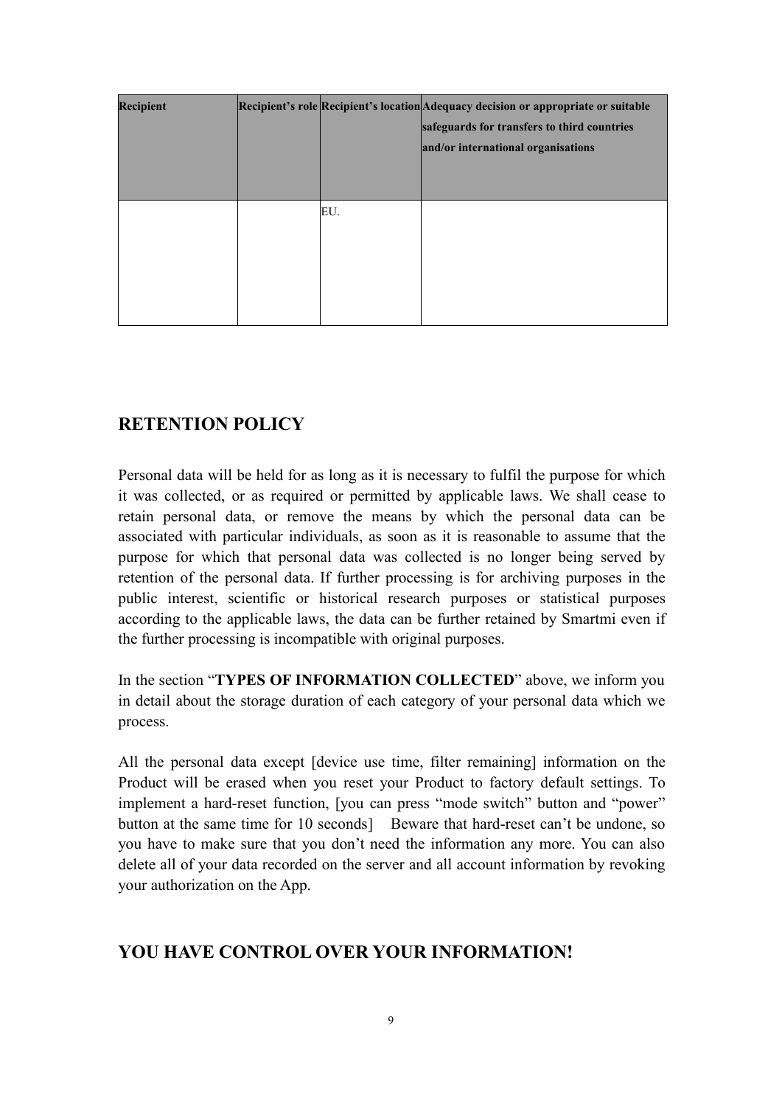| <b>Recipient</b> |     | Recipient's role Recipient's location Adequacy decision or appropriate or suitable<br>safeguards for transfers to third countries<br>and/or international organisations |
|------------------|-----|-------------------------------------------------------------------------------------------------------------------------------------------------------------------------|
|                  | EU. |                                                                                                                                                                         |

# <span id="page-8-0"></span>**RETENTION POLICY**

Personal data will be held for as long as it is necessary to fulfil the purpose for which it was collected, or as required or permitted by applicable laws. We shall cease to retain personal data, or remove the means by which the personal data can be associated with particular individuals, as soon as it is reasonable to assume that the purpose for which that personal data was collected is no longer being served by retention of the personal data. If further processing is for archiving purposes in the public interest, scientific or historical research purposes or statistical purposes according to the applicable laws, the data can be further retained by Smartmi even if the further processing is incompatible with original purposes.

In the section "**TYPES OF INFORMATION COLLECTED**" above, we inform you in detail about the storage duration of each category of your personal data which we process.

All the personal data except [device use time, filter remaining] information on the Product will be erased when you reset your Product to factory default settings. To implement a hard-reset function, [you can press "mode switch" button and "power" button at the same time for 10 seconds] Beware that hard-reset can't be undone, so you have to make sure that you don't need the information any more. You can also delete all of your data recorded on the server and all account information by revoking your authorization on the App.

# <span id="page-8-1"></span>**YOU HAVE CONTROL OVER YOUR INFORMATION!**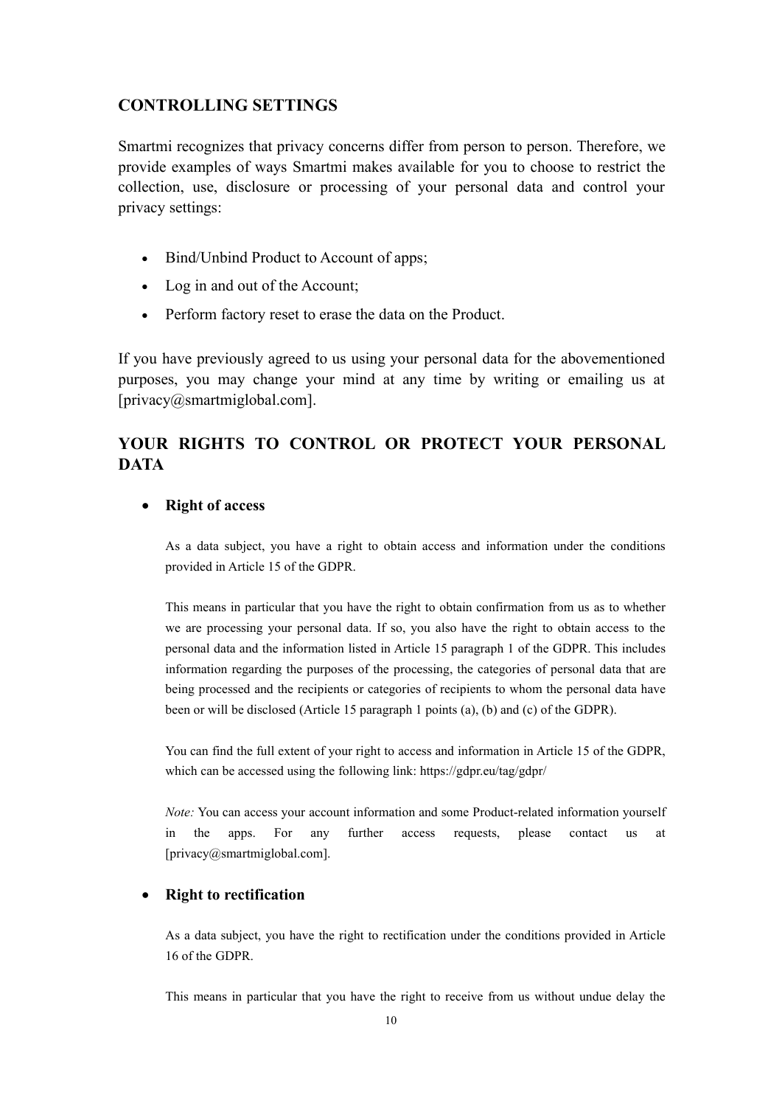#### <span id="page-9-0"></span>**CONTROLLING SETTINGS**

Smartmi recognizes that privacy concerns differ from person to person. Therefore, we provide examples of ways Smartmi makes available for you to choose to restrict the collection, use, disclosure or processing of your personal data and control your privacy settings:

- Bind/Unbind Product to Account of apps;
- Log in and out of the Account;
- 

• Perform factory reset to erase the data on the Product.<br>If you have previously agreed to us using your personal data for the abovementioned purposes, you may change your mind at any time by writing or emailing us at [privacy@smartmiglobal.com].

### <span id="page-9-1"></span>**YOUR RIGHTS TO CONTROL OR PROTECT YOUR PERSONAL DATA**

#### **Right of access**

As a data subject, you have a right to obtain access and information under the conditions provided in Article 15 of the GDPR.

This means in particular that you have the right to obtain confirmation from us as to whether we are processing your personal data. If so, you also have the right to obtain access to the personal data and the information listed in Article 15 paragraph 1 of the GDPR. This includes information regarding the purposes of the processing, the categories of personal data that are being processed and the recipients or categories of recipients to whom the personal data have been or will be disclosed (Article 15 paragraph 1 points (a), (b) and (c) of the GDPR).

You can find the full extent of your right to access and information in Article 15 of the GDPR, which can be accessed using the following link: https://gdpr.eu/tag/gdpr/

*Note:* You can access your account information and some Product-related information yourself in the apps. For any further access requests, please contact us at [privacy@smartmiglobal.com].

#### **Right to rectification**

As a data subject, you have the right to rectification under the conditions provided in Article 16 of the GDPR.

This means in particular that you have the right to receive from us without undue delay the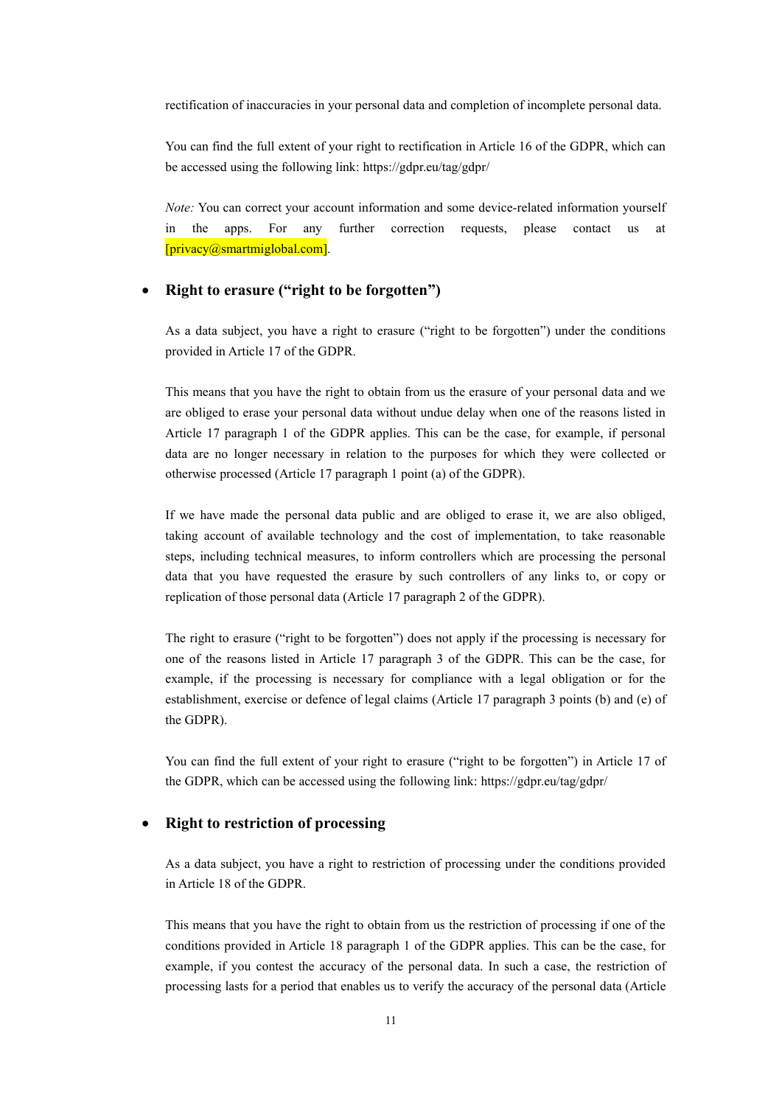rectification of inaccuracies in your personal data and completion of incomplete personal data.

You can find the full extent of your right to rectification in Article 16 of the GDPR, which can be accessed using the following link: https://gdpr.eu/tag/gdpr/

*Note:* You can correct your account information and some device-related information yourself in the apps. For any further correction requests, please contact us at [privacy@smartmiglobal.com].

#### **Right to erasure ("right to be forgotten")**

As a data subject, you have a right to erasure ("right to be forgotten") under the conditions provided in Article 17 of the GDPR.

This means that you have the right to obtain from us the erasure of your personal data and we are obliged to erase your personal data without undue delay when one of the reasons listed in Article 17 paragraph 1 of the GDPR applies. This can be the case, for example, if personal data are no longer necessary in relation to the purposes for which they were collected or otherwise processed (Article 17 paragraph 1 point (a) of the GDPR).

If we have made the personal data public and are obliged to erase it, we are also obliged, taking account of available technology and the cost of implementation, to take reasonable steps, including technical measures, to inform controllers which are processing the personal data that you have requested the erasure by such controllers of any links to, or copy or replication of those personal data (Article 17 paragraph 2 of the GDPR).

The right to erasure ("right to be forgotten") does not apply if the processing is necessary for one of the reasons listed in Article 17 paragraph 3 of the GDPR. This can be the case, for example, if the processing is necessary for compliance with a legal obligation or for the establishment, exercise or defence of legal claims (Article 17 paragraph 3 points (b) and (e) of the GDPR).

You can find the full extent of your right to erasure ("right to be forgotten") in Article 17 of the GDPR, which can be accessed using the following link: https://gdpr.eu/tag/gdpr/

#### **Right to restriction of processing**

As a data subject, you have a right to restriction of processing under the conditions provided in Article 18 of the GDPR.

This means that you have the right to obtain from us the restriction of processing if one of the conditions provided in Article 18 paragraph 1 of the GDPR applies. This can be the case, for example, if you contest the accuracy of the personal data. In such a case, the restriction of processing lasts for a period that enables us to verify the accuracy of the personal data (Article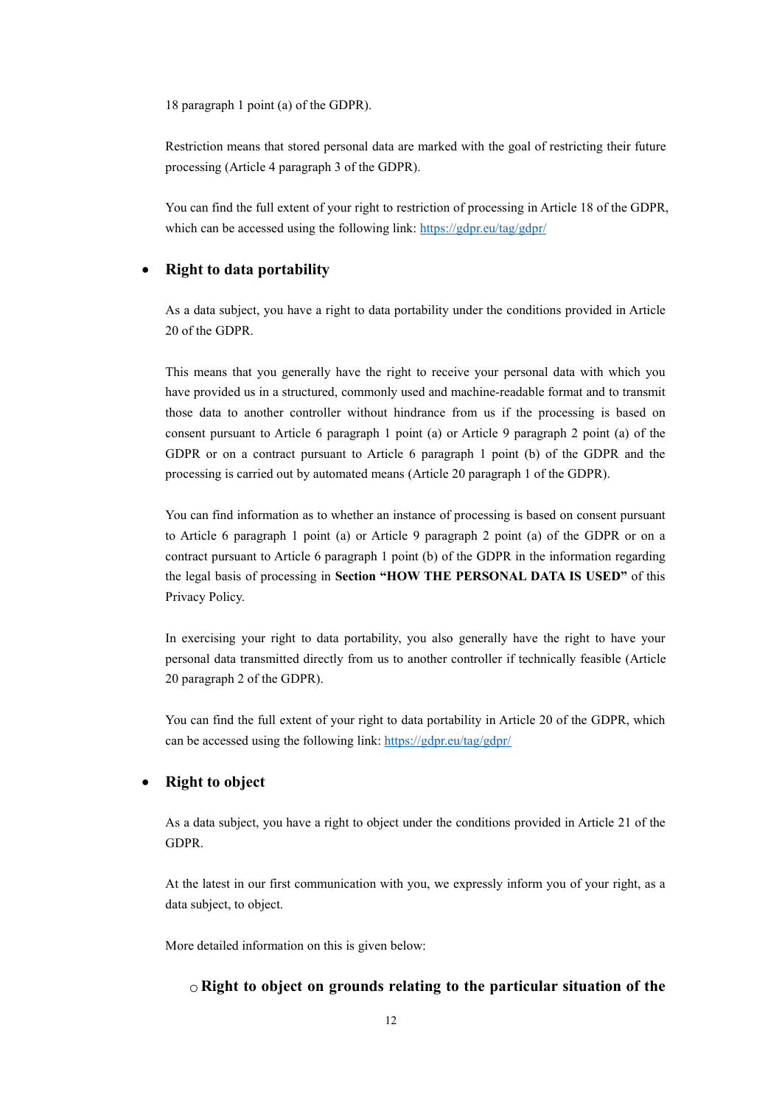18 paragraph 1 point (a) of the GDPR).

Restriction means that stored personal data are marked with the goal of restricting their future processing (Article 4 paragraph 3 of the GDPR).

You can find the full extent of your right to restriction of processing in Article 18 of the GDPR, which can be accessed using the following link: <https://gdpr.eu/tag/gdpr/>

#### **Right to data portability**

As a data subject, you have a right to data portability under the conditions provided in Article 20 of the GDPR.

This means that you generally have the right to receive your personal data with which you have provided us in a structured, commonly used and machine-readable format and to transmit those data to another controller without hindrance from us if the processing is based on consent pursuant to Article 6 paragraph 1 point (a) or Article 9 paragraph 2 point (a) of the GDPR or on a contract pursuant to Article 6 paragraph 1 point (b) of the GDPR and the processing is carried out by automated means (Article 20 paragraph 1 of the GDPR).

You can find information as to whether an instance of processing is based on consent pursuant to Article 6 paragraph 1 point (a) or Article 9 paragraph 2 point (a) of the GDPR or on a contract pursuant to Article 6 paragraph 1 point (b) of the GDPR in the information regarding the legal basis of processing in **Section "HOW THE PERSONAL DATA IS USED"** of this Privacy Policy.

In exercising your right to data portability, you also generally have the right to have your personal data transmitted directly from us to another controller if technically feasible (Article 20 paragraph 2 of the GDPR).

You can find the full extent of your right to data portability in Article 20 of the GDPR, which can be accessed using the following link: <https://gdpr.eu/tag/gdpr/>

#### **Right to object**

As a data subject, you have a right to object under the conditions provided in Article 21 of the GDPR.

At the latest in our first communication with you, we expressly inform you of your right, as a data subject, to object.

More detailed information on this is given below:

#### o **Right to object on grounds relating to the particular situation of the**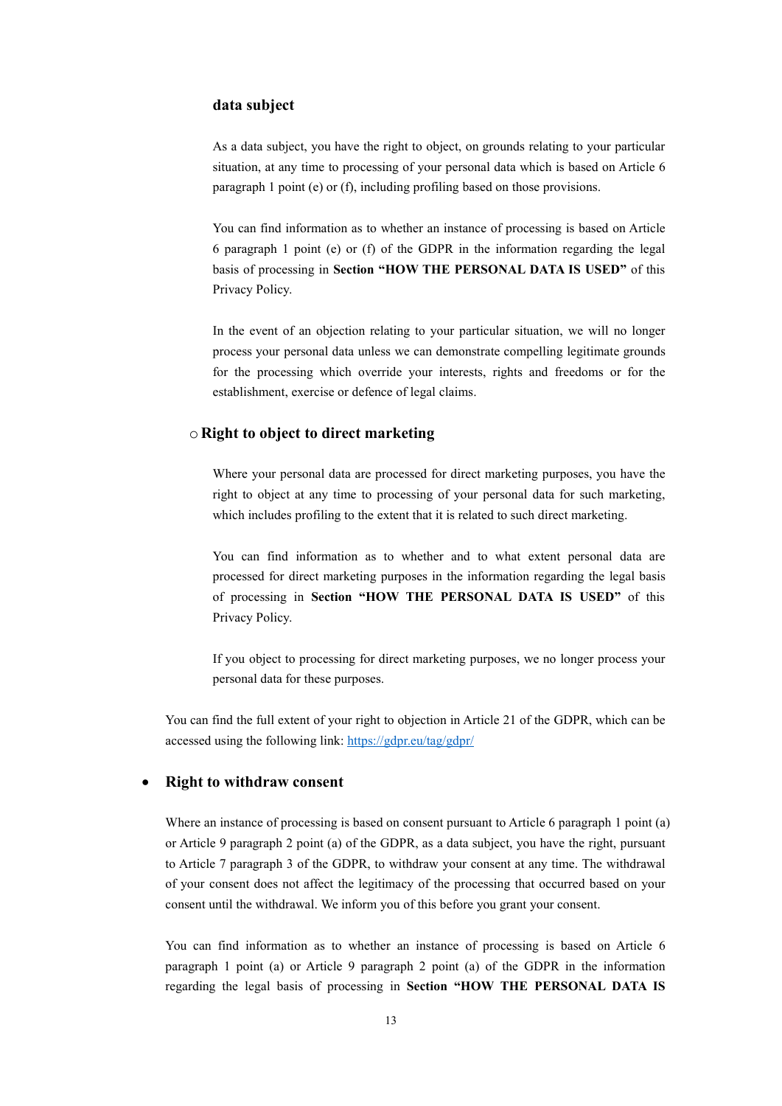#### **data subject**

As a data subject, you have the right to object, on grounds relating to your particular situation, at any time to processing of your personal data which is based on Article 6 paragraph 1 point (e) or (f), including profiling based on those provisions.

You can find information as to whether an instance of processing is based on Article 6 paragraph 1 point (e) or (f) of the GDPR in the information regarding the legal basis of processing in **Section "HOW THE PERSONAL DATA IS USED"** of this Privacy Policy.

In the event of an objection relating to your particular situation, we will no longer process your personal data unless we can demonstrate compelling legitimate grounds for the processing which override your interests, rights and freedoms or for the establishment, exercise or defence of legal claims.

#### o **Right to object to direct marketing**

Where your personal data are processed for direct marketing purposes, you have the right to object at any time to processing of your personal data for such marketing, which includes profiling to the extent that it is related to such direct marketing.

You can find information as to whether and to what extent personal data are processed for direct marketing purposes in the information regarding the legal basis of processing in **Section "HOW THE PERSONAL DATA IS USED"** of this Privacy Policy.

If you object to processing for direct marketing purposes, we no longer process your personal data for these purposes.

You can find the full extent of your right to objection in Article 21 of the GDPR, which can be accessed using the following link: <https://gdpr.eu/tag/gdpr/>

#### **Right to withdraw consent**

Where an instance of processing is based on consent pursuant to Article 6 paragraph 1 point (a) or Article 9 paragraph 2 point (a) of the GDPR, as a data subject, you have the right, pursuant to Article 7 paragraph 3 of the GDPR, to withdraw your consent at any time. The withdrawal of your consent does not affect the legitimacy of the processing that occurred based on your consent until the withdrawal. We inform you of this before you grant your consent.

You can find information as to whether an instance of processing is based on Article 6 paragraph 1 point (a) or Article 9 paragraph 2 point (a) of the GDPR in the information regarding the legal basis of processing in **Section "HOW THE PERSONAL DATA IS**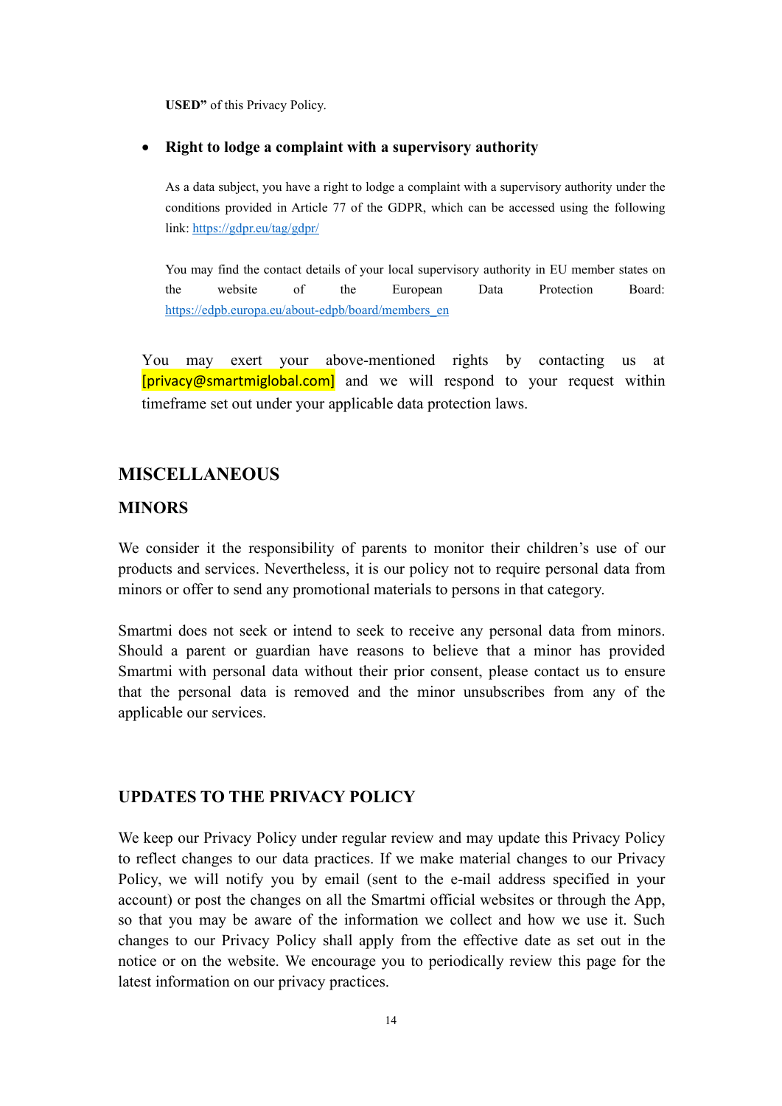**USED"** of this Privacy Policy.

#### **Right to lodge a complaint with a supervisory authority**

As a data subject, you have a right to lodge a complaint with a supervisory authority under the conditions provided in Article 77 of the GDPR, which can be accessed using the following link: <https://gdpr.eu/tag/gdpr/>

You may find the contact details of your local supervisory authority in EU member states on the website of the European Data Protection Board: [https://edpb.europa.eu/about-edpb/board/members\\_en](https://edpb.europa.eu/about-edpb/board/members_en)

You may exert your above-mentioned rights by contacting us at [privacy@smartmiglobal.com] and we will respond to your request within timeframe set out under your applicable data protection laws.

### <span id="page-13-0"></span>**MISCELLANEOUS**

#### <span id="page-13-1"></span>**MINORS**

We consider it the responsibility of parents to monitor their children's use of our products and services. Nevertheless, it is our policy not to require personal data from minors or offer to send any promotional materials to persons in that category.

Smartmi does not seek or intend to seek to receive any personal data from minors. Should a parent or guardian have reasons to believe that a minor has provided Smartmi with personal data without their prior consent, please contact us to ensure that the personal data is removed and the minor unsubscribes from any of the applicable our services.

#### <span id="page-13-2"></span>**UPDATES TO THE PRIVACY POLICY**

We keep our Privacy Policy under regular review and may update this Privacy Policy to reflect changes to our data practices. If we make material changes to our Privacy Policy, we will notify you by email (sent to the e-mail address specified in your account) or post the changes on all the Smartmi official websites or through the App, so that you may be aware of the information we collect and how we use it. Such changes to our Privacy Policy shall apply from the effective date as set out in the notice or on the website.We encourage you to periodically review this page for the latest information on our privacy practices.